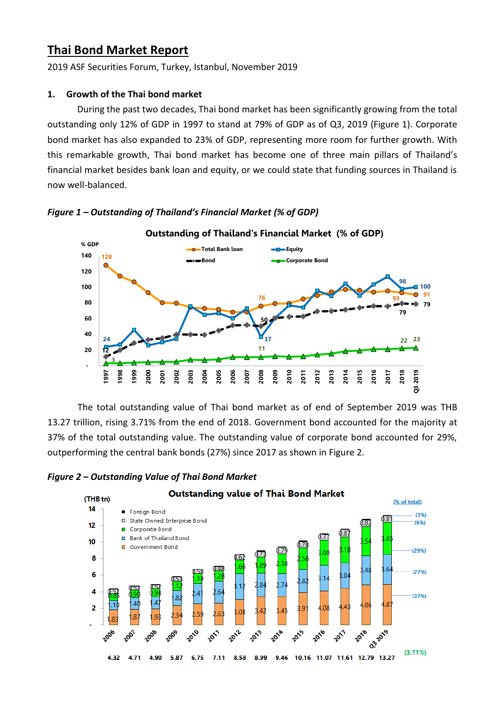# **Thai Bond Market Report**

2019 ASF Securities Forum, Turkey, Istanbul, November 2019

# **1. Growth of the Thai bond market**

During the past two decades, Thai bond market has been significantly growing from the total outstanding only 12% of GDP in 1997 to stand at 79% of GDP as of Q3, 2019 (Figure 1). Corporate bond market has also expanded to 23% of GDP, representing more room for further growth. With this remarkable growth, Thai bond market has become one of three main pillars of Thailand's financial market besides bank loan and equity, or we could state that funding sources in Thailand is now well-balanced.



# *Figure 1 – Outstanding of Thailand's Financial Market (% of GDP)*

The total outstanding value of Thai bond market as of end of September 2019 was THB 13.27 trillion, rising 3.71% from the end of 2018. Government bond accounted for the majority at 37% of the total outstanding value. The outstanding value of corporate bond accounted for 29%, outperforming the central bank bonds (27%) since 2017 as shown in Figure 2.



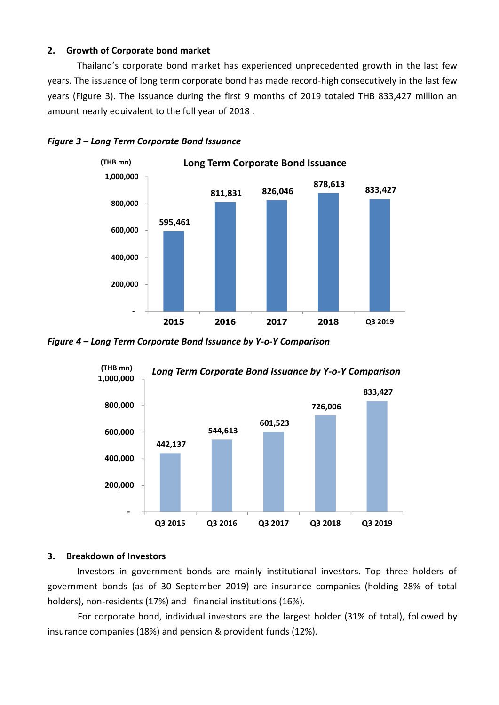## **2. Growth of Corporate bond market**

Thailand's corporate bond market has experienced unprecedented growth in the last few years. The issuance of long term corporate bond has made record-high consecutively in the last few years (Figure 3). The issuance during the first 9 months of 2019 totaled THB 833,427 million an amount nearly equivalent to the full year of 2018 .



#### *Figure 3 – Long Term Corporate Bond Issuance*

*Figure 4 – Long Term Corporate Bond Issuance by Y-o-Y Comparison*



## **3. Breakdown of Investors**

Investors in government bonds are mainly institutional investors. Top three holders of government bonds (as of 30 September 2019) are insurance companies (holding 28% of total holders), non-residents (17%) and financial institutions (16%).

For corporate bond, individual investors are the largest holder (31% of total), followed by insurance companies (18%) and pension & provident funds (12%).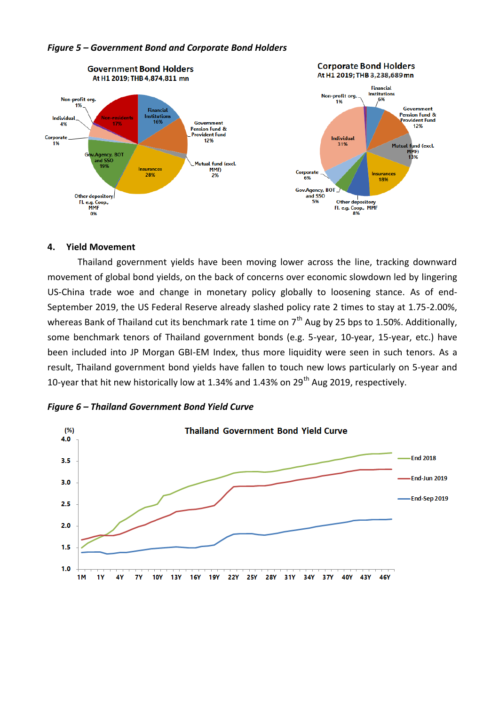

#### *Figure 5 – Government Bond and Corporate Bond Holders*

#### **4. Yield Movement**

Thailand government yields have been moving lower across the line, tracking downward movement of global bond yields, on the back of concerns over economic slowdown led by lingering US-China trade woe and change in monetary policy globally to loosening stance. As of end-September 2019, the US Federal Reserve already slashed policy rate 2 times to stay at 1.75-2.00%, whereas Bank of Thailand cut its benchmark rate 1 time on  $7<sup>th</sup>$  Aug by 25 bps to 1.50%. Additionally, some benchmark tenors of Thailand government bonds (e.g. 5-year, 10-year, 15-year, etc.) have been included into JP Morgan GBI-EM Index, thus more liquidity were seen in such tenors. As a result, Thailand government bond yields have fallen to touch new lows particularly on 5-year and 10-year that hit new historically low at 1.34% and 1.43% on 29<sup>th</sup> Aug 2019, respectively.